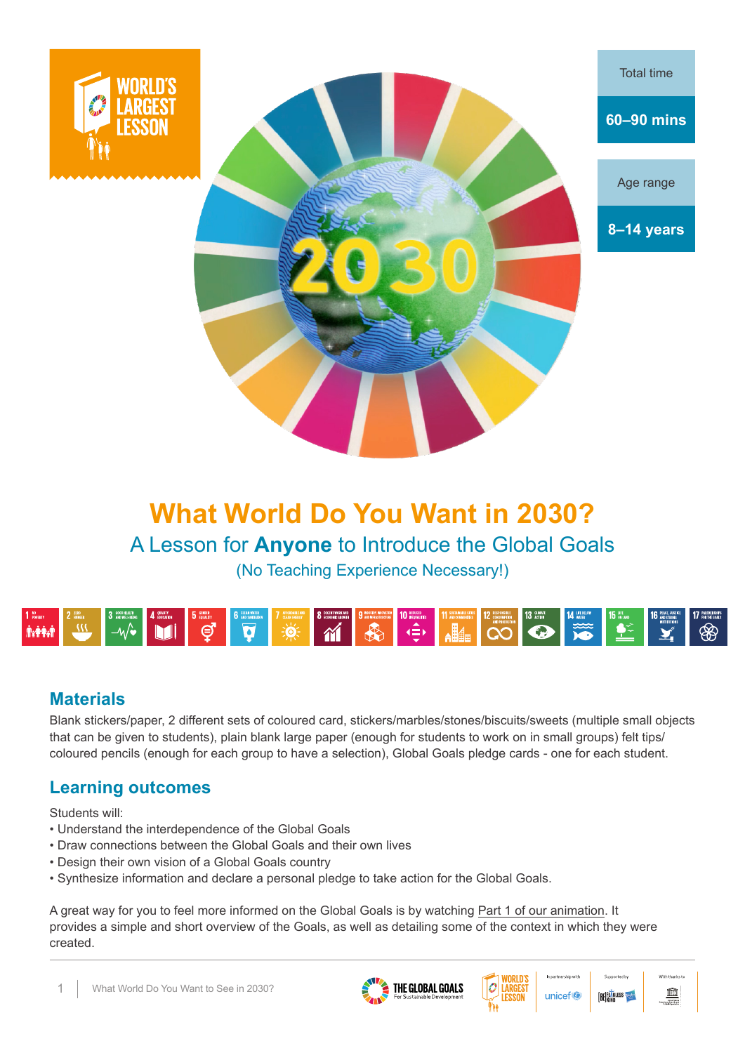



Age range

**8–14 years**

# **What World Do You Want in 2030?**  A Lesson for **Anyone** to Introduce the Global Goals (No Teaching Experience Necessary!)



## **Materials**

Blank stickers/paper, 2 different sets of coloured card, stickers/marbles/stones/biscuits/sweets (multiple small objects that can be given to students), plain blank large paper (enough for students to work on in small groups) felt tips/ coloured pencils (enough for each group to have a selection), Global Goals pledge cards - one for each student.

## **Learning outcomes**

Students will:

- Understand the interdependence of the Global Goals
- Draw connections between the Global Goals and their own lives
- Design their own vision of a Global Goals country
- Synthesize information and declare a personal pledge to take action for the Global Goals.

A great way for you to feel more informed on the Global Goals is by watching Part 1 of our animation. It provides a simple and short overview of the Goals, as well as detailing some of the context in which they were created.







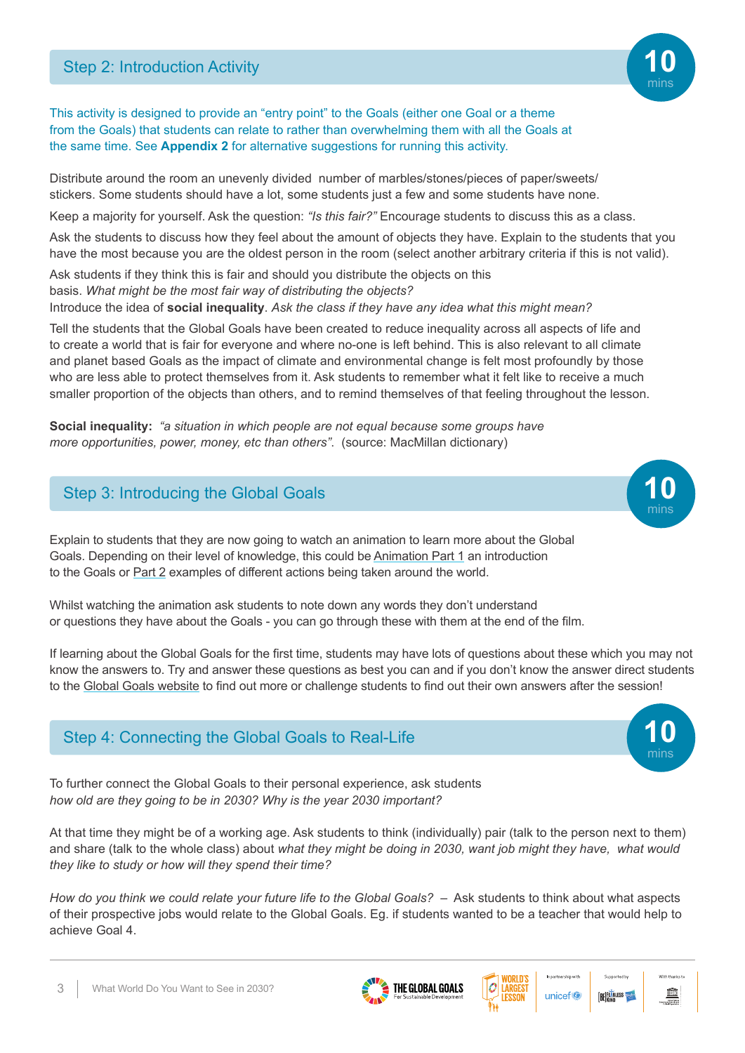

This activity is designed to provide an "entry point" to the Goals (either one Goal or a theme from the Goals) that students can relate to rather than overwhelming them with all the Goals at the same time. See **Appendix 2** for alternative suggestions for running this activity.

Distribute around the room an unevenly divided number of marbles/stones/pieces of paper/sweets/ stickers. Some students should have a lot, some students just a few and some students have none.

Keep a majority for yourself. Ask the question: *"Is this fair?"* Encourage students to discuss this as a class.

Ask the students to discuss how they feel about the amount of objects they have. Explain to the students that you have the most because you are the oldest person in the room (select another arbitrary criteria if this is not valid).

Ask students if they think this is fair and should you distribute the objects on this basis. *What might be the most fair way of distributing the objects?* Introduce the idea of **social inequality**. *Ask the class if they have any idea what this might mean?*

Tell the students that the Global Goals have been created to reduce inequality across all aspects of life and to create a world that is fair for everyone and where no-one is left behind. This is also relevant to all climate and planet based Goals as the impact of climate and environmental change is felt most profoundly by those who are less able to protect themselves from it. Ask students to remember what it felt like to receive a much smaller proportion of the objects than others, and to remind themselves of that feeling throughout the lesson.

**Social inequality:** *"a situation in which people are not equal because some groups have more opportunities, power, money, etc than others"*. (source: MacMillan dictionary)

## **Step 3: Introducing the Global Goals**



Explain to students that they are now going to watch an animation to learn more about the Global Goals. Depending on their level of knowledge, this could be Animation Part 1 an introduction to the Goals or Part 2 examples of different actions being taken around the world.

Whilst watching the animation ask students to note down any words they don't understand or questions they have about the Goals - you can go through these with them at the end of the film.

If learning about the Global Goals for the first time, students may have lots of questions about these which you may not know the answers to. Try and answer these questions as best you can and if you don't know the answer direct students to the Global Goals website to find out more or challenge students to find out their own answers after the session!

## Step 4: Connecting the Global Goals to Real-Life

To further connect the Global Goals to their personal experience, ask students *how old are they going to be in 2030? Why is the year 2030 important?* 

At that time they might be of a working age. Ask students to think (individually) pair (talk to the person next to them) and share (talk to the whole class) about *what they might be doing in 2030, want job might they have, what would they like to study or how will they spend their time?* 

*How do you think we could relate your future life to the Global Goals?* – Ask students to think about what aspects of their prospective jobs would relate to the Global Goals. Eg. if students wanted to be a teacher that would help to achieve Goal 4.







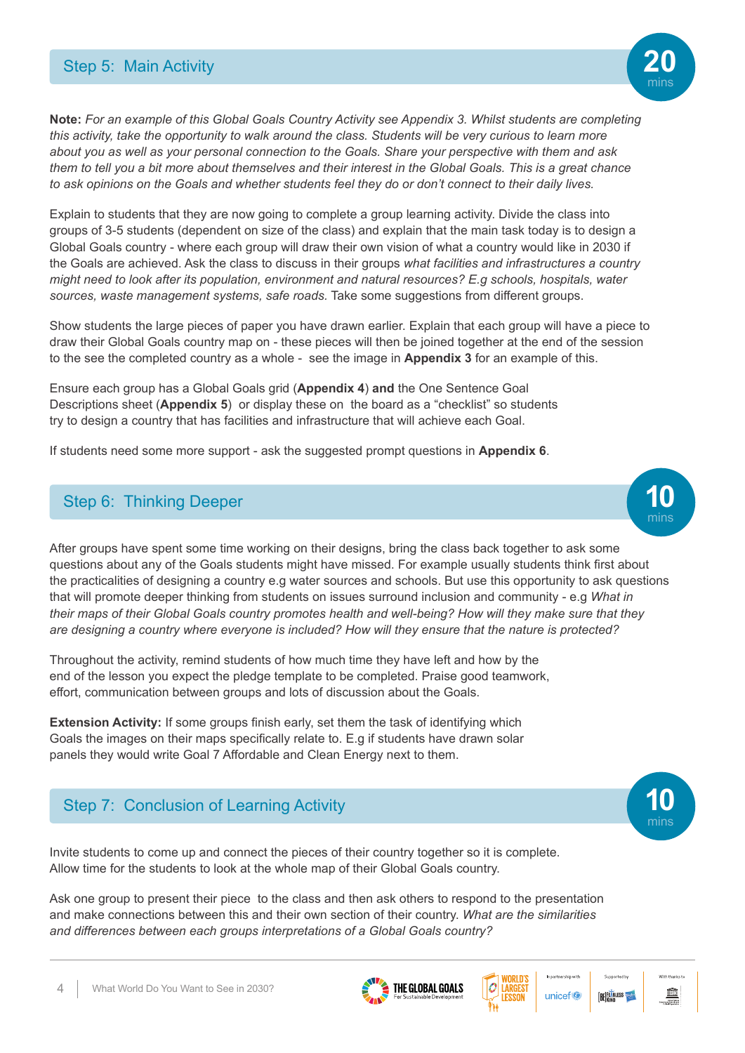

**Note:** *For an example of this Global Goals Country Activity see Appendix 3. Whilst students are completing this activity, take the opportunity to walk around the class. Students will be very curious to learn more about you as well as your personal connection to the Goals. Share your perspective with them and ask them to tell you a bit more about themselves and their interest in the Global Goals. This is a great chance to ask opinions on the Goals and whether students feel they do or don't connect to their daily lives.* 

Explain to students that they are now going to complete a group learning activity. Divide the class into groups of 3-5 students (dependent on size of the class) and explain that the main task today is to design a Global Goals country - where each group will draw their own vision of what a country would like in 2030 if the Goals are achieved. Ask the class to discuss in their groups *what facilities and infrastructures a country might need to look after its population, environment and natural resources? E.g schools, hospitals, water sources, waste management systems, safe roads.* Take some suggestions from different groups.

Show students the large pieces of paper you have drawn earlier. Explain that each group will have a piece to draw their Global Goals country map on - these pieces will then be joined together at the end of the session to the see the completed country as a whole - see the image in **Appendix 3** for an example of this.

Ensure each group has a Global Goals grid (**Appendix 4**) **and** the One Sentence Goal Descriptions sheet (**Appendix 5**) or display these on the board as a "checklist" so students try to design a country that has facilities and infrastructure that will achieve each Goal.

If students need some more support - ask the suggested prompt questions in **Appendix 6**.

### **Step 6: Thinking Deeper**

.

After groups have spent some time working on their designs, bring the class back together to ask some questions about any of the Goals students might have missed. For example usually students think first about the practicalities of designing a country e.g water sources and schools. But use this opportunity to ask questions that will promote deeper thinking from students on issues surround inclusion and community - e.g *What in their maps of their Global Goals country promotes health and well-being? How will they make sure that they are designing a country where everyone is included? How will they ensure that the nature is protected?*

Throughout the activity, remind students of how much time they have left and how by the end of the lesson you expect the pledge template to be completed. Praise good teamwork, effort, communication between groups and lots of discussion about the Goals.

**Extension Activity:** If some groups finish early, set them the task of identifying which Goals the images on their maps specifically relate to. E.g if students have drawn solar panels they would write Goal 7 Affordable and Clean Energy next to them.

## **Step 7: Conclusion of Learning Activity**

Invite students to come up and connect the pieces of their country together so it is complete. Allow time for the students to look at the whole map of their Global Goals country.

Ask one group to present their piece to the class and then ask others to respond to the presentation and make connections between this and their own section of their country. *What are the similarities and differences between each groups interpretations of a Global Goals country?*







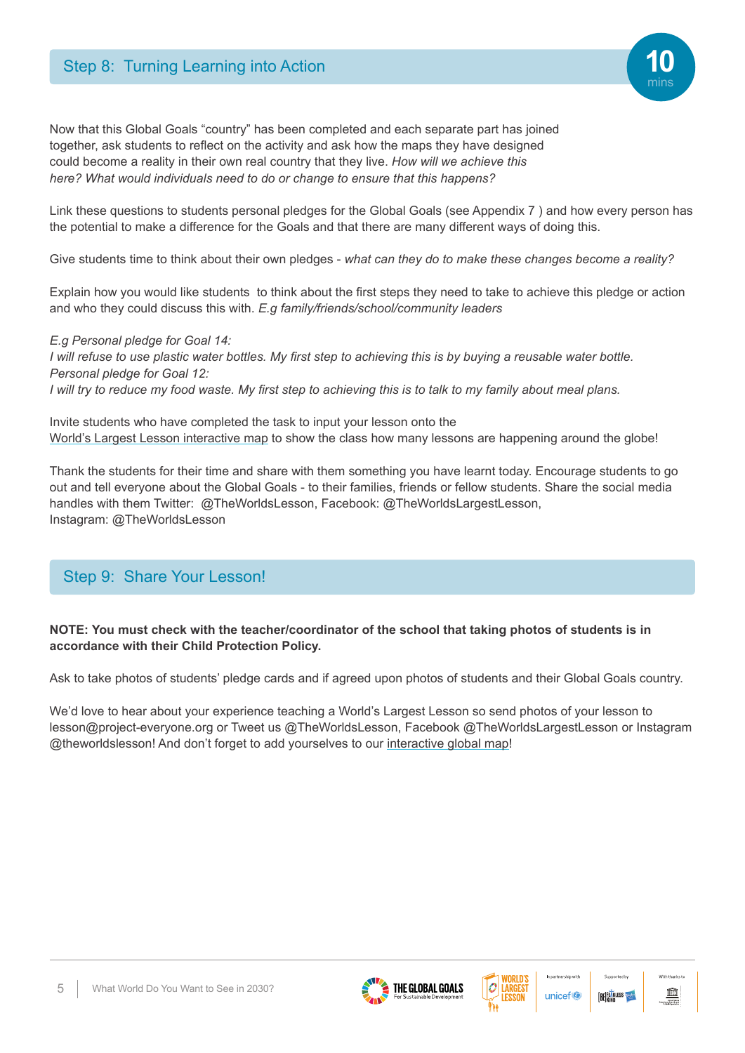

Link these questions to students personal pledges for the Global Goals (see Appendix 7 ) and how every person has the potential to make a difference for the Goals and that there are many different ways of doing this.

Give students time to think about their own pledges - *what can they do to make these changes become a reality?*

Explain how you would like students to think about the first steps they need to take to achieve this pledge or action and who they could discuss this with. *E.g family/friends/school/community leaders*

*E.g Personal pledge for Goal 14: I will refuse to use plastic water bottles. My first step to achieving this is by buying a reusable water bottle. Personal pledge for Goal 12: I will try to reduce my food waste. My first step to achieving this is to talk to my family about meal plans.*

Invite students who have completed the task to input your lesson onto the World's Largest Lesson interactive map to show the class how many lessons are happening around the globe!

Thank the students for their time and share with them something you have learnt today. Encourage students to go out and tell everyone about the Global Goals - to their families, friends or fellow students. Share the social media handles with them Twitter: @TheWorldsLesson, Facebook: @TheWorldsLargestLesson, Instagram: @TheWorldsLesson

## Step 9: Share Your Lesson!

#### **NOTE: You must check with the teacher/coordinator of the school that taking photos of students is in accordance with their Child Protection Policy.**

Ask to take photos of students' pledge cards and if agreed upon photos of students and their Global Goals country.

We'd love to hear about your experience teaching a World's Largest Lesson so send photos of your lesson to lesson@project-everyone.org or Tweet us @TheWorldsLesson, Facebook @TheWorldsLargestLesson or Instagram @theworldslesson! And don't forget to add yourselves to our interactive global map!









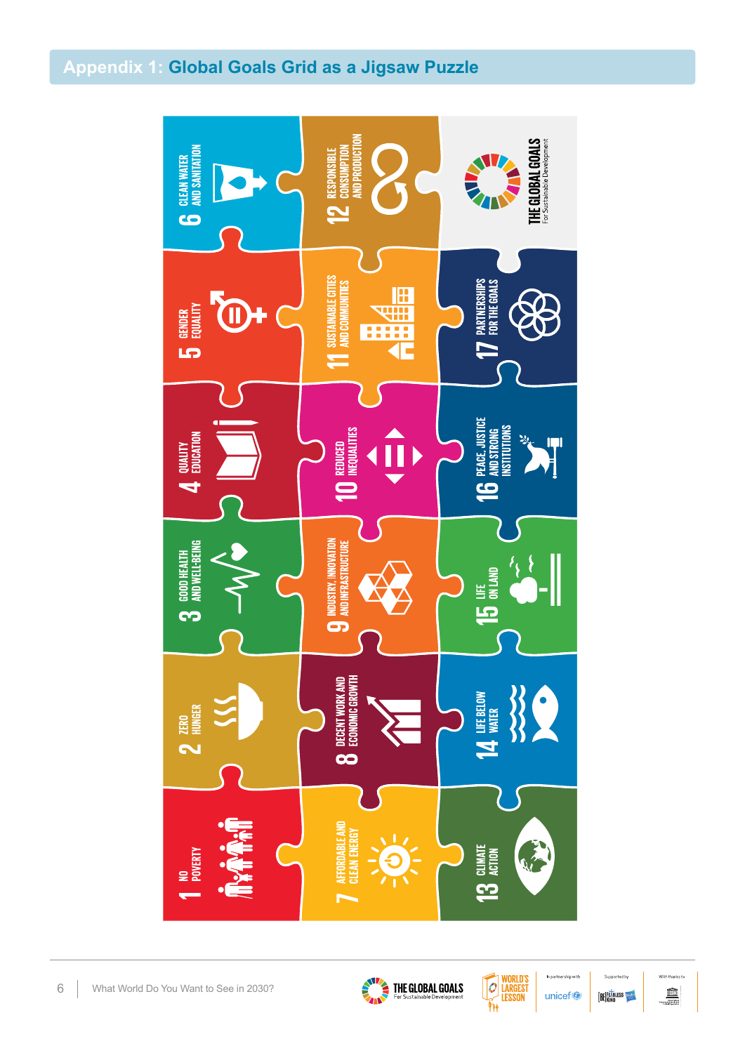## **Appendix 1: Global Goals Grid as a Jigsaw Puzzle**







unicef<sup>®</sup>

In partnership with

Supported by **BE FEARLESS** 

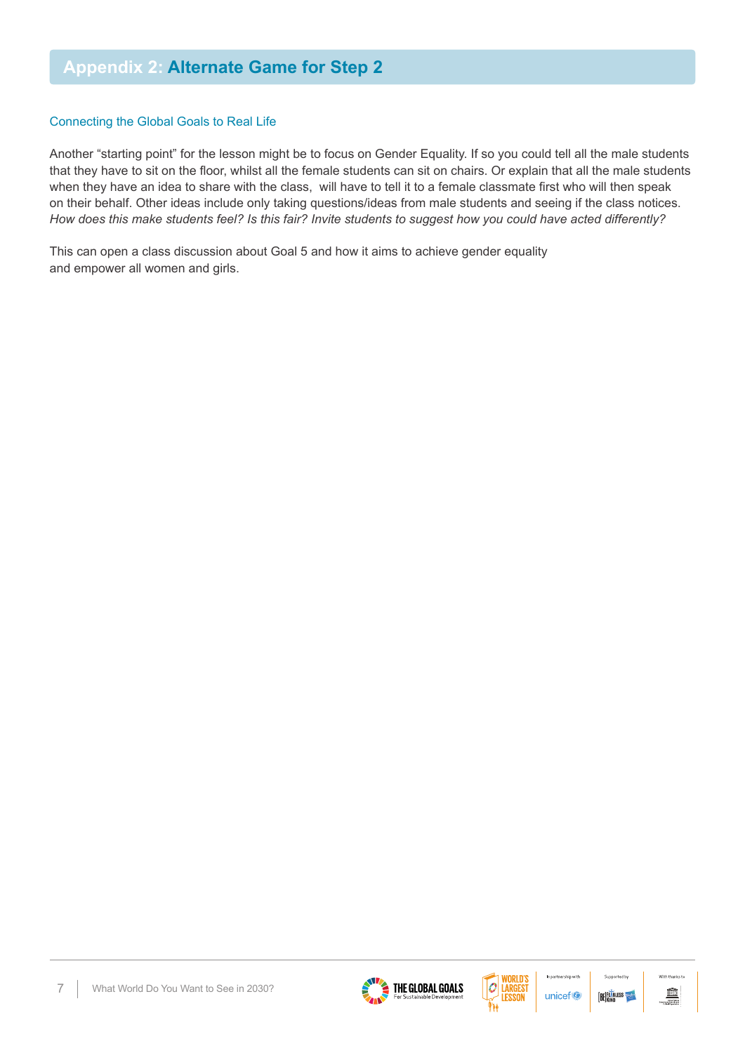#### Connecting the Global Goals to Real Life

Another "starting point" for the lesson might be to focus on Gender Equality. If so you could tell all the male students that they have to sit on the floor, whilst all the female students can sit on chairs. Or explain that all the male students when they have an idea to share with the class, will have to tell it to a female classmate first who will then speak on their behalf. Other ideas include only taking questions/ideas from male students and seeing if the class notices. *How does this make students feel? Is this fair? Invite students to suggest how you could have acted differently?*

This can open a class discussion about Goal 5 and how it aims to achieve gender equality and empower all women and girls.







In partnership with

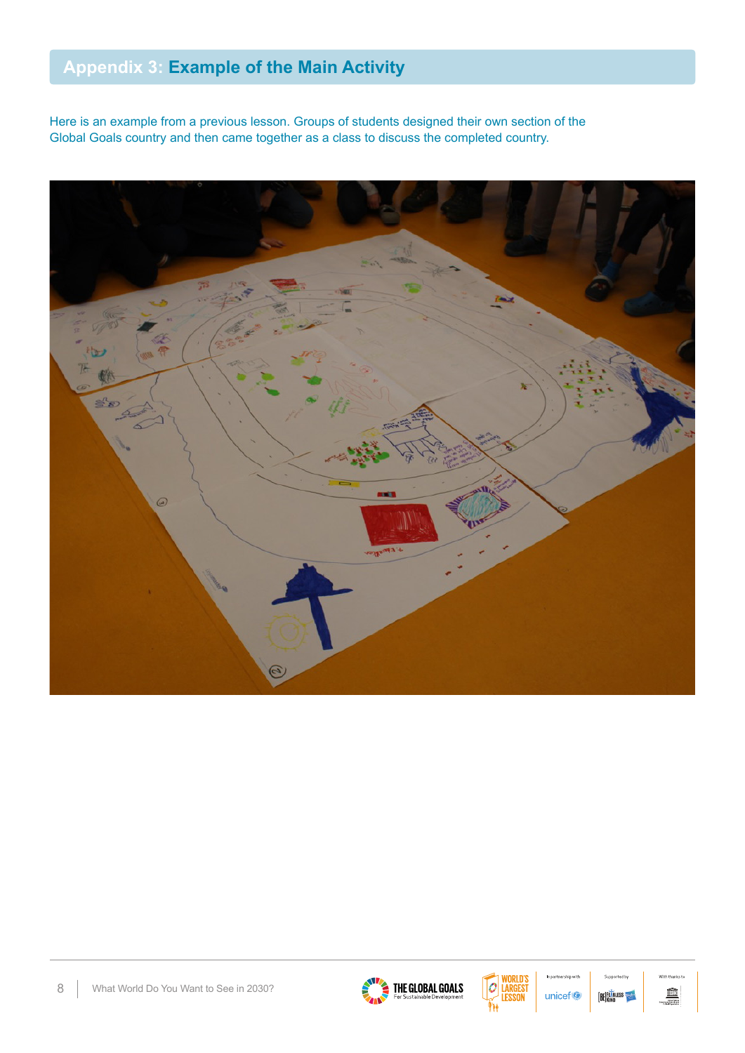# **Appendix 3: Example of the Main Activity**

Here is an example from a previous lesson. Groups of students designed their own section of the Global Goals country and then came together as a class to discuss the completed country.







In partnership with unicef<sup>®</sup>



With that  $\widehat{\mathbb{m}}$ **Contact**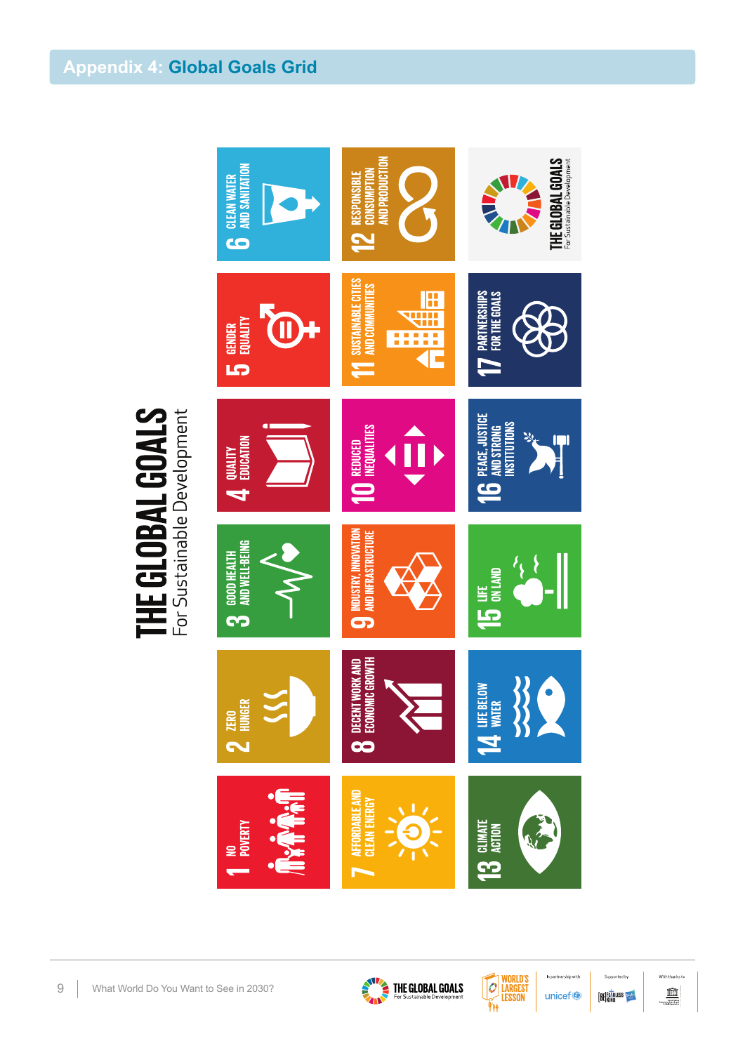

THE GLOBAL GOALS

9 | What World Do You Want to See in 2030?





In partnership with unicef<sup>®</sup>



With thanks to  $\widehat{\mathbb{m}}$ .<br>Christilations<br>Christilation<br>Christilation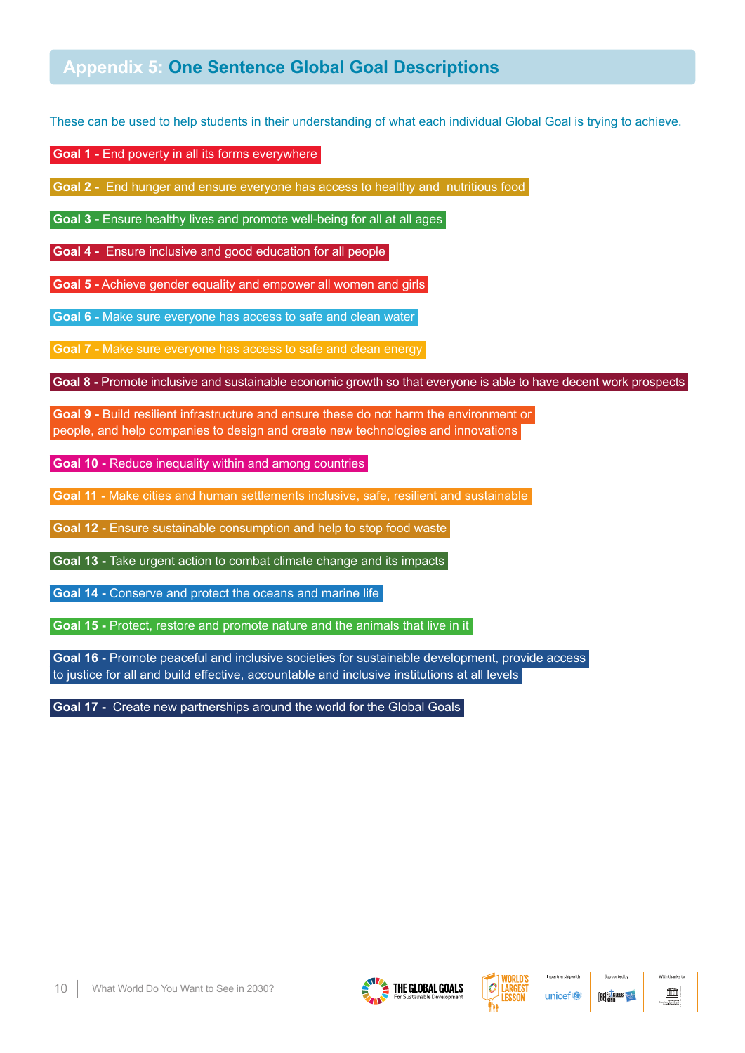## **Appendix 5: One Sentence Global Goal Descriptions**

These can be used to help students in their understanding of what each individual Global Goal is trying to achieve.

 **Goal 1 -** End poverty in all its forms everywhere

**Goal 2 -** End hunger and ensure everyone has access to healthy and nutritious food

**Goal 3 -** Ensure healthy lives and promote well-being for all at all ages

**Goal 4 -** Ensure inclusive and good education for all people

**Goal 5 -** Achieve gender equality and empower all women and girls

**Goal 6 -** Make sure everyone has access to safe and clean water

**Goal 7 -** Make sure everyone has access to safe and clean energy

**Goal 8 -** Promote inclusive and sustainable economic growth so that everyone is able to have decent work prospects

**Goal 9 -** Build resilient infrastructure and ensure these do not harm the environment or people, and help companies to design and create new technologies and innovations

**Goal 10 - Reduce inequality within and among countries** 

**Goal 11 -** Make cities and human settlements inclusive, safe, resilient and sustainable

**Goal 12 -** Ensure sustainable consumption and help to stop food waste

**Goal 13 - Take urgent action to combat climate change and its impacts** 

**Goal 14 -** Conserve and protect the oceans and marine life

**Goal 15 -** Protect, restore and promote nature and the animals that live in it

**Goal 16 -** Promote peaceful and inclusive societies for sustainable development, provide access to justice for all and build effective, accountable and inclusive institutions at all levels

**Goal 17 -** Create new partnerships around the world for the Global Goals





In partnership with

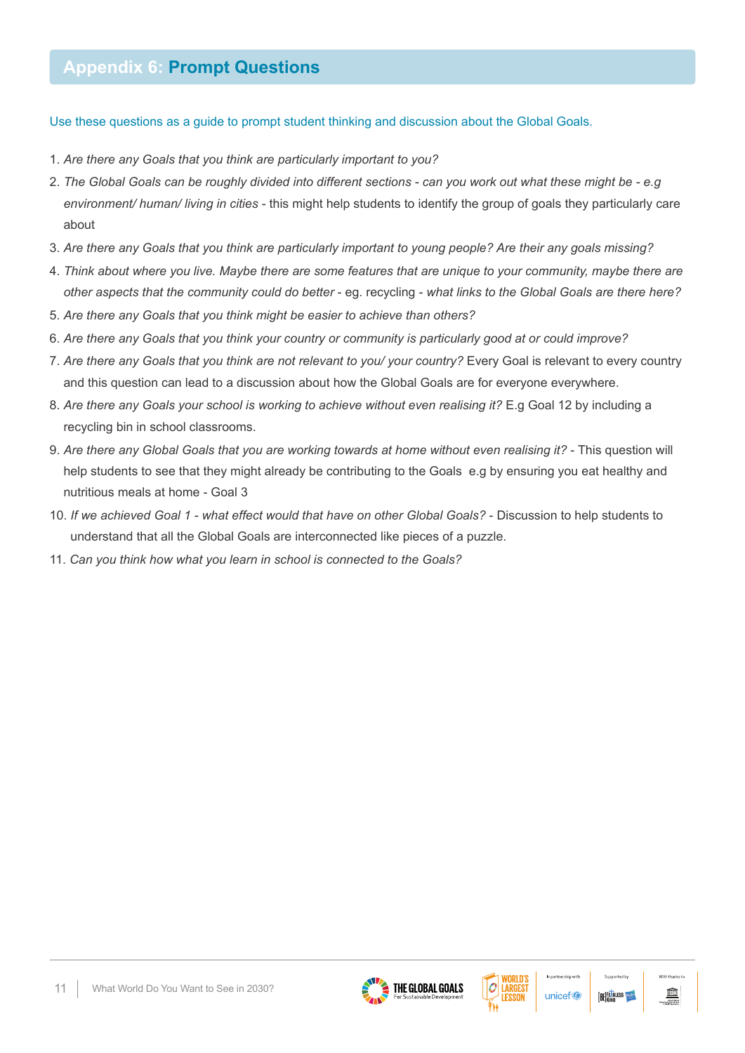## **Appendix 6: Prompt Questions**

Use these questions as a guide to prompt student thinking and discussion about the Global Goals.

- 1. *Are there any Goals that you think are particularly important to you?*
- 2. *The Global Goals can be roughly divided into different sections can you work out what these might be e.g environment/ human/ living in cities* - this might help students to identify the group of goals they particularly care about
- 3. *Are there any Goals that you think are particularly important to young people? Are their any goals missing?*
- 4. *Think about where you live. Maybe there are some features that are unique to your community, maybe there are other aspects that the community could do better* - eg. recycling - *what links to the Global Goals are there here?*
- 5. *Are there any Goals that you think might be easier to achieve than others?*
- 6. *Are there any Goals that you think your country or community is particularly good at or could improve?*
- 7. *Are there any Goals that you think are not relevant to you/ your country?* Every Goal is relevant to every country and this question can lead to a discussion about how the Global Goals are for everyone everywhere.
- 8. *Are there any Goals your school is working to achieve without even realising it?* E.g Goal 12 by including a recycling bin in school classrooms.
- 9. *Are there any Global Goals that you are working towards at home without even realising it?* This question will help students to see that they might already be contributing to the Goals e.g by ensuring you eat healthy and nutritious meals at home - Goal 3
- 10. *If we achieved Goal 1 what effect would that have on other Global Goals?* Discussion to help students to understand that all the Global Goals are interconnected like pieces of a puzzle.
- 11. *Can you think how what you learn in school is connected to the Goals?*